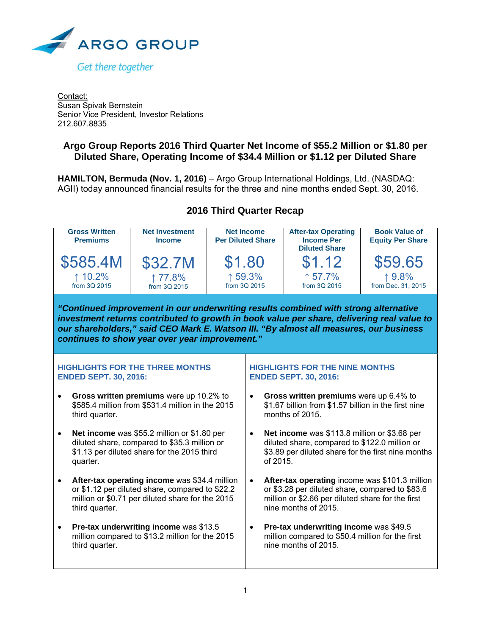

Contact: Susan Spivak Bernstein Senior Vice President, Investor Relations 212.607.8835

# **Argo Group Reports 2016 Third Quarter Net Income of \$55.2 Million or \$1.80 per Diluted Share, Operating Income of \$34.4 Million or \$1.12 per Diluted Share**

**HAMILTON, Bermuda (Nov. 1, 2016)** – Argo Group International Holdings, Ltd. (NASDAQ: AGII) today announced financial results for the three and nine months ended Sept. 30, 2016.

#### **2016 Third Quarter Recap Gross Written Premiums**  \$585.4M ↑ 10.2% from 3Q 2015 **Net Investment Income**  \$32.7M ↑ 77.8% from 3Q 2015 **Net Income Per Diluted Share**  \$1.80 ↑ 59.3% from 3Q 2015 **After-tax Operating Income Per Diluted Share**  \$1.12 ↑ 57.7% from 3Q 2015 **Book Value of Equity Per Share**  \$59.65 ↑ 9.8% from Dec. 31, 2015 *"Continued improvement in our underwriting results combined with strong alternative investment returns contributed to growth in book value per share, delivering real value to our shareholders," said CEO Mark E. Watson III. "By almost all measures, our business continues to show year over year improvement."*  **HIGHLIGHTS FOR THE THREE MONTHS ENDED SEPT. 30, 2016: Gross written premiums** were up 10.2% to \$585.4 million from \$531.4 million in the 2015 third quarter. **Net income** was \$55.2 million or \$1.80 per diluted share, compared to \$35.3 million or \$1.13 per diluted share for the 2015 third quarter. **After-tax operating income** was \$34.4 million or \$1.12 per diluted share, compared to \$22.2 million or \$0.71 per diluted share for the 2015 third quarter. **Pre-tax underwriting income** was \$13.5 million compared to \$13.2 million for the 2015 third quarter. **HIGHLIGHTS FOR THE NINE MONTHS ENDED SEPT. 30, 2016: Gross written premiums** were up 6.4% to \$1.67 billion from \$1.57 billion in the first nine months of 2015. **Net income** was \$113.8 million or \$3.68 per diluted share, compared to \$122.0 million or \$3.89 per diluted share for the first nine months of 2015. **After-tax operating** income was \$101.3 million or \$3.28 per diluted share, compared to \$83.6 million or \$2.66 per diluted share for the first nine months of 2015. **Pre-tax underwriting income** was \$49.5 million compared to \$50.4 million for the first nine months of 2015.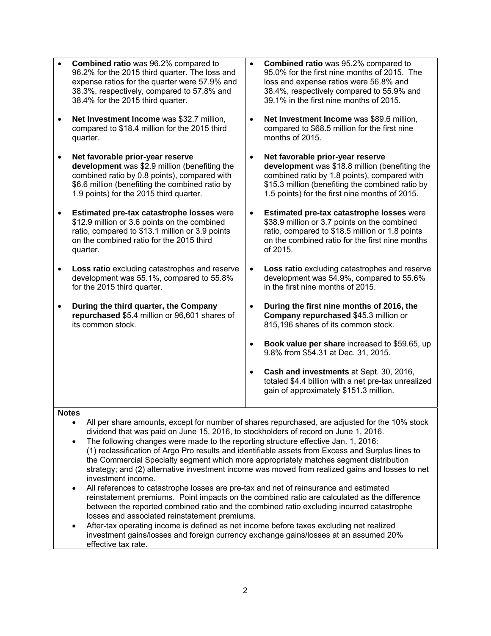| Combined ratio was 96.2% compared to<br>96.2% for the 2015 third quarter. The loss and<br>expense ratios for the quarter were 57.9% and<br>38.3%, respectively, compared to 57.8% and<br>38.4% for the 2015 third quarter.      | $\bullet$ | Combined ratio was 95.2% compared to<br>95.0% for the first nine months of 2015. The<br>loss and expense ratios were 56.8% and<br>38.4%, respectively compared to 55.9% and<br>39.1% in the first nine months of 2015.                   |
|---------------------------------------------------------------------------------------------------------------------------------------------------------------------------------------------------------------------------------|-----------|------------------------------------------------------------------------------------------------------------------------------------------------------------------------------------------------------------------------------------------|
| Net Investment Income was \$32.7 million,<br>compared to \$18.4 million for the 2015 third<br>quarter.                                                                                                                          | $\bullet$ | Net Investment Income was \$89.6 million,<br>compared to \$68.5 million for the first nine<br>months of 2015.                                                                                                                            |
| Net favorable prior-year reserve<br>development was \$2.9 million (benefiting the<br>combined ratio by 0.8 points), compared with<br>\$6.6 million (benefiting the combined ratio by<br>1.9 points) for the 2015 third quarter. |           | Net favorable prior-year reserve<br>development was \$18.8 million (benefiting the<br>combined ratio by 1.8 points), compared with<br>\$15.3 million (benefiting the combined ratio by<br>1.5 points) for the first nine months of 2015. |
| Estimated pre-tax catastrophe losses were<br>\$12.9 million or 3.6 points on the combined<br>ratio, compared to \$13.1 million or 3.9 points<br>on the combined ratio for the 2015 third<br>quarter.                            | $\bullet$ | Estimated pre-tax catastrophe losses were<br>\$38.9 million or 3.7 points on the combined<br>ratio, compared to \$18.5 million or 1.8 points<br>on the combined ratio for the first nine months<br>of 2015.                              |
| Loss ratio excluding catastrophes and reserve<br>development was 55.1%, compared to 55.8%<br>for the 2015 third quarter.                                                                                                        | $\bullet$ | Loss ratio excluding catastrophes and reserve<br>development was 54.9%, compared to 55.6%<br>in the first nine months of 2015.                                                                                                           |
| During the third quarter, the Company<br>repurchased \$5.4 million or 96,601 shares of<br>its common stock.                                                                                                                     | $\bullet$ | During the first nine months of 2016, the<br>Company repurchased \$45.3 million or<br>815,196 shares of its common stock.                                                                                                                |
|                                                                                                                                                                                                                                 | $\bullet$ | Book value per share increased to \$59.65, up<br>9.8% from \$54.31 at Dec. 31, 2015.                                                                                                                                                     |
|                                                                                                                                                                                                                                 |           | Cash and investments at Sept. 30, 2016,<br>totaled \$4.4 billion with a net pre-tax unrealized<br>gain of approximately \$151.3 million.                                                                                                 |

## **Notes**

- All per share amounts, except for number of shares repurchased, are adjusted for the 10% stock dividend that was paid on June 15, 2016, to stockholders of record on June 1, 2016.
- The following changes were made to the reporting structure effective Jan. 1, 2016: (1) reclassification of Argo Pro results and identifiable assets from Excess and Surplus lines to the Commercial Specialty segment which more appropriately matches segment distribution strategy; and (2) alternative investment income was moved from realized gains and losses to net investment income.
- All references to catastrophe losses are pre-tax and net of reinsurance and estimated reinstatement premiums. Point impacts on the combined ratio are calculated as the difference between the reported combined ratio and the combined ratio excluding incurred catastrophe losses and associated reinstatement premiums.
- After-tax operating income is defined as net income before taxes excluding net realized investment gains/losses and foreign currency exchange gains/losses at an assumed 20% effective tax rate.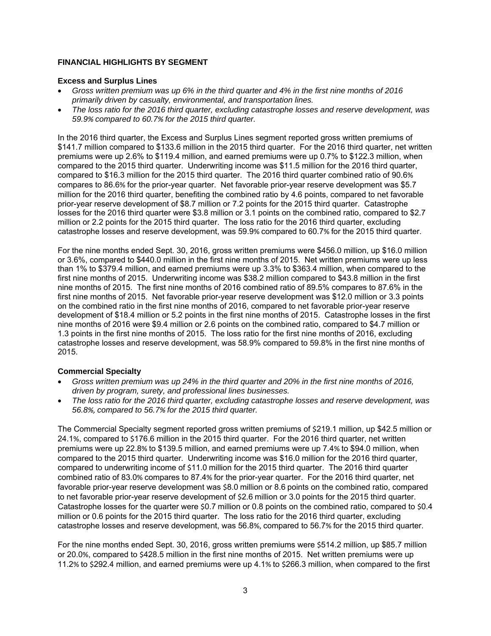## **FINANCIAL HIGHLIGHTS BY SEGMENT**

#### **Excess and Surplus Lines**

- *Gross written premium was up 6% in the third quarter and 4% in the first nine months of 2016 primarily driven by casualty, environmental, and transportation lines.*
- *The loss ratio for the 2016 third quarter, excluding catastrophe losses and reserve development, was 59.9% compared to 60.7% for the 2015 third quarter.*

In the 2016 third quarter, the Excess and Surplus Lines segment reported gross written premiums of \$141.7 million compared to \$133.6 million in the 2015 third quarter. For the 2016 third quarter, net written premiums were up 2.6% to \$119.4 million, and earned premiums were up 0.7% to \$122.3 million, when compared to the 2015 third quarter. Underwriting income was \$11.5 million for the 2016 third quarter, compared to \$16.3 million for the 2015 third quarter. The 2016 third quarter combined ratio of 90.6% compares to 86.6% for the prior-year quarter. Net favorable prior-year reserve development was \$5.7 million for the 2016 third quarter, benefiting the combined ratio by 4.6 points, compared to net favorable prior-year reserve development of \$8.7 million or 7.2 points for the 2015 third quarter. Catastrophe losses for the 2016 third quarter were \$3.8 million or 3.1 points on the combined ratio, compared to \$2.7 million or 2.2 points for the 2015 third quarter. The loss ratio for the 2016 third quarter, excluding catastrophe losses and reserve development, was 59.9% compared to 60.7% for the 2015 third quarter.

For the nine months ended Sept. 30, 2016, gross written premiums were \$456.0 million, up \$16.0 million or 3.6%, compared to \$440.0 million in the first nine months of 2015. Net written premiums were up less than 1% to \$379.4 million, and earned premiums were up 3.3% to \$363.4 million, when compared to the first nine months of 2015. Underwriting income was \$38.2 million compared to \$43.8 million in the first nine months of 2015. The first nine months of 2016 combined ratio of 89.5% compares to 87.6% in the first nine months of 2015. Net favorable prior-year reserve development was \$12.0 million or 3.3 points on the combined ratio in the first nine months of 2016, compared to net favorable prior-year reserve development of \$18.4 million or 5.2 points in the first nine months of 2015. Catastrophe losses in the first nine months of 2016 were \$9.4 million or 2.6 points on the combined ratio, compared to \$4.7 million or 1.3 points in the first nine months of 2015. The loss ratio for the first nine months of 2016, excluding catastrophe losses and reserve development, was 58.9% compared to 59.8% in the first nine months of 2015.

## **Commercial Specialty**

- *Gross written premium was up 24% in the third quarter and 20% in the first nine months of 2016, driven by program, surety, and professional lines businesses.*
- *The loss ratio for the 2016 third quarter, excluding catastrophe losses and reserve development, was 56.8%, compared to 56.7% for the 2015 third quarter.*

The Commercial Specialty segment reported gross written premiums of \$219.1 million, up \$42.5 million or 24.1%, compared to \$176.6 million in the 2015 third quarter. For the 2016 third quarter, net written premiums were up 22.8% to \$139.5 million, and earned premiums were up 7.4% to \$94.0 million, when compared to the 2015 third quarter. Underwriting income was \$16.0 million for the 2016 third quarter, compared to underwriting income of \$11.0 million for the 2015 third quarter. The 2016 third quarter combined ratio of 83.0% compares to 87.4% for the prior-year quarter. For the 2016 third quarter, net favorable prior-year reserve development was \$8.0 million or 8.6 points on the combined ratio, compared to net favorable prior-year reserve development of \$2.6 million or 3.0 points for the 2015 third quarter. Catastrophe losses for the quarter were \$0.7 million or 0.8 points on the combined ratio, compared to \$0.4 million or 0.6 points for the 2015 third quarter. The loss ratio for the 2016 third quarter, excluding catastrophe losses and reserve development, was 56.8%, compared to 56.7% for the 2015 third quarter.

For the nine months ended Sept. 30, 2016, gross written premiums were \$514.2 million, up \$85.7 million or 20.0%, compared to \$428.5 million in the first nine months of 2015. Net written premiums were up 11.2% to \$292.4 million, and earned premiums were up 4.1% to \$266.3 million, when compared to the first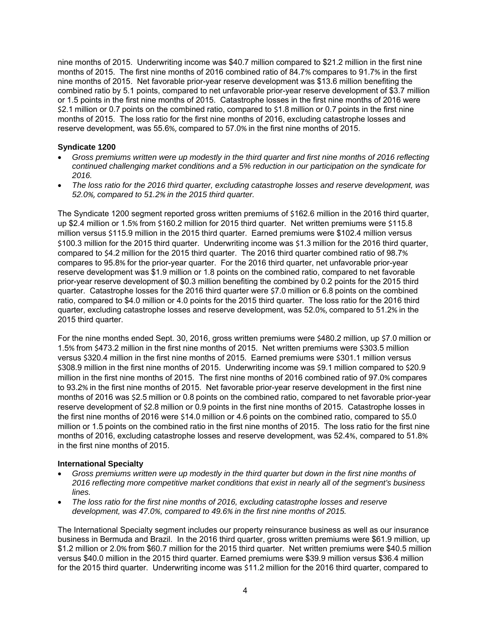nine months of 2015. Underwriting income was \$40.7 million compared to \$21.2 million in the first nine months of 2015. The first nine months of 2016 combined ratio of 84.7% compares to 91.7% in the first nine months of 2015. Net favorable prior-year reserve development was \$13.6 million benefiting the combined ratio by 5.1 points, compared to net unfavorable prior-year reserve development of \$3.7 million or 1.5 points in the first nine months of 2015. Catastrophe losses in the first nine months of 2016 were \$2.1 million or 0.7 points on the combined ratio, compared to \$1.8 million or 0.7 points in the first nine months of 2015. The loss ratio for the first nine months of 2016, excluding catastrophe losses and reserve development, was 55.6%, compared to 57.0% in the first nine months of 2015.

## **Syndicate 1200**

- *Gross premiums written were up modestly in the third quarter and first nine months of 2016 reflecting continued challenging market conditions and a 5% reduction in our participation on the syndicate for 2016.*
- *The loss ratio for the 2016 third quarter, excluding catastrophe losses and reserve development, was 52.0%, compared to 51.2% in the 2015 third quarter.*

The Syndicate 1200 segment reported gross written premiums of \$162.6 million in the 2016 third quarter, up \$2.4 million or 1.5% from \$160.2 million for 2015 third quarter. Net written premiums were \$115.8 million versus \$115.9 million in the 2015 third quarter. Earned premiums were \$102.4 million versus \$100.3 million for the 2015 third quarter. Underwriting income was \$1.3 million for the 2016 third quarter, compared to \$4.2 million for the 2015 third quarter. The 2016 third quarter combined ratio of 98.7% compares to 95.8% for the prior-year quarter. For the 2016 third quarter, net unfavorable prior-year reserve development was \$1.9 million or 1.8 points on the combined ratio, compared to net favorable prior-year reserve development of \$0.3 million benefiting the combined by 0.2 points for the 2015 third quarter. Catastrophe losses for the 2016 third quarter were \$7.0 million or 6.8 points on the combined ratio, compared to \$4.0 million or 4.0 points for the 2015 third quarter. The loss ratio for the 2016 third quarter, excluding catastrophe losses and reserve development, was 52.0%, compared to 51.2% in the 2015 third quarter.

For the nine months ended Sept. 30, 2016, gross written premiums were \$480.2 million, up \$7.0 million or 1.5% from \$473.2 million in the first nine months of 2015. Net written premiums were \$303.5 million versus \$320.4 million in the first nine months of 2015. Earned premiums were \$301.1 million versus \$308.9 million in the first nine months of 2015. Underwriting income was \$9.1 million compared to \$20.9 million in the first nine months of 2015. The first nine months of 2016 combined ratio of 97.0% compares to 93.2% in the first nine months of 2015. Net favorable prior-year reserve development in the first nine months of 2016 was \$2.5 million or 0.8 points on the combined ratio, compared to net favorable prior-year reserve development of \$2.8 million or 0.9 points in the first nine months of 2015. Catastrophe losses in the first nine months of 2016 were \$14.0 million or 4.6 points on the combined ratio, compared to \$5.0 million or 1.5 points on the combined ratio in the first nine months of 2015. The loss ratio for the first nine months of 2016, excluding catastrophe losses and reserve development, was 52.4%, compared to 51.8% in the first nine months of 2015.

## **International Specialty**

- *Gross premiums written were up modestly in the third quarter but down in the first nine months of 2016 reflecting more competitive market conditions that exist in nearly all of the segment's business lines.*
- *The loss ratio for the first nine months of 2016, excluding catastrophe losses and reserve development, was 47.0%, compared to 49.6% in the first nine months of 2015.*

The International Specialty segment includes our property reinsurance business as well as our insurance business in Bermuda and Brazil. In the 2016 third quarter, gross written premiums were \$61.9 million, up \$1.2 million or 2.0% from \$60.7 million for the 2015 third quarter. Net written premiums were \$40.5 million versus \$40.0 million in the 2015 third quarter. Earned premiums were \$39.9 million versus \$36.4 million for the 2015 third quarter. Underwriting income was \$11.2 million for the 2016 third quarter, compared to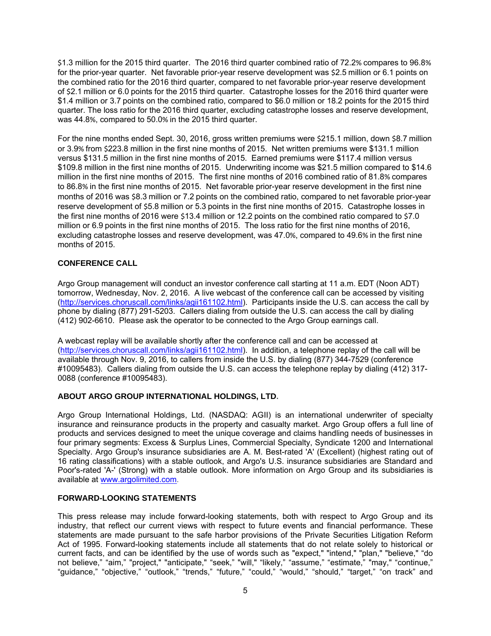\$1.3 million for the 2015 third quarter. The 2016 third quarter combined ratio of 72.2% compares to 96.8% for the prior-year quarter. Net favorable prior-year reserve development was \$2.5 million or 6.1 points on the combined ratio for the 2016 third quarter, compared to net favorable prior-year reserve development of \$2.1 million or 6.0 points for the 2015 third quarter. Catastrophe losses for the 2016 third quarter were \$1.4 million or 3.7 points on the combined ratio, compared to \$6.0 million or 18.2 points for the 2015 third quarter. The loss ratio for the 2016 third quarter, excluding catastrophe losses and reserve development, was 44.8%, compared to 50.0% in the 2015 third quarter.

For the nine months ended Sept. 30, 2016, gross written premiums were \$215.1 million, down \$8.7 million or 3.9% from \$223.8 million in the first nine months of 2015. Net written premiums were \$131.1 million versus \$131.5 million in the first nine months of 2015. Earned premiums were \$117.4 million versus \$109.8 million in the first nine months of 2015. Underwriting income was \$21.5 million compared to \$14.6 million in the first nine months of 2015. The first nine months of 2016 combined ratio of 81.8% compares to 86.8% in the first nine months of 2015. Net favorable prior-year reserve development in the first nine months of 2016 was \$8.3 million or 7.2 points on the combined ratio, compared to net favorable prior-year reserve development of \$5.8 million or 5.3 points in the first nine months of 2015. Catastrophe losses in the first nine months of 2016 were \$13.4 million or 12.2 points on the combined ratio compared to \$7.0 million or 6.9 points in the first nine months of 2015. The loss ratio for the first nine months of 2016, excluding catastrophe losses and reserve development, was 47.0%, compared to 49.6% in the first nine months of 2015.

## **CONFERENCE CALL**

Argo Group management will conduct an investor conference call starting at 11 a.m. EDT (Noon ADT) tomorrow, Wednesday, Nov. 2, 2016. A live webcast of the conference call can be accessed by visiting (http://services.choruscall.com/links/agii161102.html). Participants inside the U.S. can access the call by phone by dialing (877) 291-5203. Callers dialing from outside the U.S. can access the call by dialing (412) 902-6610. Please ask the operator to be connected to the Argo Group earnings call.

A webcast replay will be available shortly after the conference call and can be accessed at (http://services.choruscall.com/links/agii161102.html). In addition, a telephone replay of the call will be available through Nov. 9, 2016, to callers from inside the U.S. by dialing (877) 344-7529 (conference #10095483). Callers dialing from outside the U.S. can access the telephone replay by dialing (412) 317- 0088 (conference #10095483).

## **ABOUT ARGO GROUP INTERNATIONAL HOLDINGS, LTD.**

Argo Group International Holdings, Ltd. (NASDAQ: AGII) is an international underwriter of specialty insurance and reinsurance products in the property and casualty market. Argo Group offers a full line of products and services designed to meet the unique coverage and claims handling needs of businesses in four primary segments: Excess & Surplus Lines, Commercial Specialty, Syndicate 1200 and International Specialty. Argo Group's insurance subsidiaries are A. M. Best-rated 'A' (Excellent) (highest rating out of 16 rating classifications) with a stable outlook, and Argo's U.S. insurance subsidiaries are Standard and Poor's-rated 'A-' (Strong) with a stable outlook. More information on Argo Group and its subsidiaries is available at www.argolimited.com.

## **FORWARD-LOOKING STATEMENTS**

This press release may include forward-looking statements, both with respect to Argo Group and its industry, that reflect our current views with respect to future events and financial performance. These statements are made pursuant to the safe harbor provisions of the Private Securities Litigation Reform Act of 1995. Forward-looking statements include all statements that do not relate solely to historical or current facts, and can be identified by the use of words such as "expect," "intend," "plan," "believe," "do not believe," "aim," "project," "anticipate," "seek," "will," "likely," "assume," "estimate," "may," "continue," "guidance," "objective," "outlook," "trends," "future," "could," "would," "should," "target," "on track" and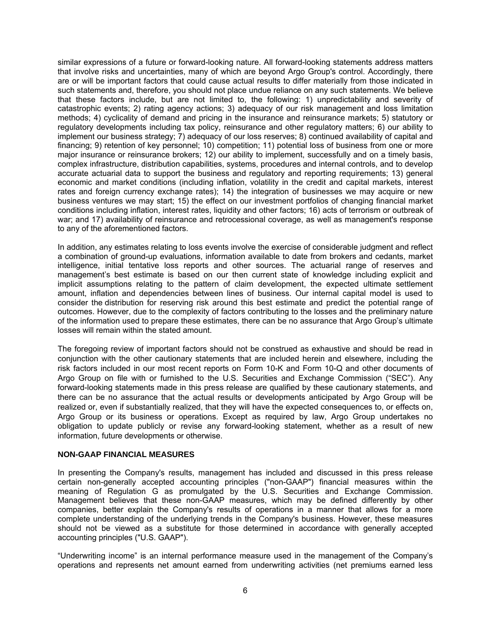similar expressions of a future or forward-looking nature. All forward-looking statements address matters that involve risks and uncertainties, many of which are beyond Argo Group's control. Accordingly, there are or will be important factors that could cause actual results to differ materially from those indicated in such statements and, therefore, you should not place undue reliance on any such statements. We believe that these factors include, but are not limited to, the following: 1) unpredictability and severity of catastrophic events; 2) rating agency actions; 3) adequacy of our risk management and loss limitation methods; 4) cyclicality of demand and pricing in the insurance and reinsurance markets; 5) statutory or regulatory developments including tax policy, reinsurance and other regulatory matters; 6) our ability to implement our business strategy; 7) adequacy of our loss reserves; 8) continued availability of capital and financing; 9) retention of key personnel; 10) competition; 11) potential loss of business from one or more major insurance or reinsurance brokers; 12) our ability to implement, successfully and on a timely basis, complex infrastructure, distribution capabilities, systems, procedures and internal controls, and to develop accurate actuarial data to support the business and regulatory and reporting requirements; 13) general economic and market conditions (including inflation, volatility in the credit and capital markets, interest rates and foreign currency exchange rates); 14) the integration of businesses we may acquire or new business ventures we may start; 15) the effect on our investment portfolios of changing financial market conditions including inflation, interest rates, liquidity and other factors; 16) acts of terrorism or outbreak of war; and 17) availability of reinsurance and retrocessional coverage, as well as management's response to any of the aforementioned factors.

In addition, any estimates relating to loss events involve the exercise of considerable judgment and reflect a combination of ground-up evaluations, information available to date from brokers and cedants, market intelligence, initial tentative loss reports and other sources. The actuarial range of reserves and management's best estimate is based on our then current state of knowledge including explicit and implicit assumptions relating to the pattern of claim development, the expected ultimate settlement amount, inflation and dependencies between lines of business. Our internal capital model is used to consider the distribution for reserving risk around this best estimate and predict the potential range of outcomes. However, due to the complexity of factors contributing to the losses and the preliminary nature of the information used to prepare these estimates, there can be no assurance that Argo Group's ultimate losses will remain within the stated amount.

The foregoing review of important factors should not be construed as exhaustive and should be read in conjunction with the other cautionary statements that are included herein and elsewhere, including the risk factors included in our most recent reports on Form 10-K and Form 10-Q and other documents of Argo Group on file with or furnished to the U.S. Securities and Exchange Commission ("SEC"). Any forward-looking statements made in this press release are qualified by these cautionary statements, and there can be no assurance that the actual results or developments anticipated by Argo Group will be realized or, even if substantially realized, that they will have the expected consequences to, or effects on, Argo Group or its business or operations. Except as required by law, Argo Group undertakes no obligation to update publicly or revise any forward-looking statement, whether as a result of new information, future developments or otherwise.

## **NON-GAAP FINANCIAL MEASURES**

In presenting the Company's results, management has included and discussed in this press release certain non-generally accepted accounting principles ("non-GAAP") financial measures within the meaning of Regulation G as promulgated by the U.S. Securities and Exchange Commission. Management believes that these non-GAAP measures, which may be defined differently by other companies, better explain the Company's results of operations in a manner that allows for a more complete understanding of the underlying trends in the Company's business. However, these measures should not be viewed as a substitute for those determined in accordance with generally accepted accounting principles ("U.S. GAAP").

"Underwriting income" is an internal performance measure used in the management of the Company's operations and represents net amount earned from underwriting activities (net premiums earned less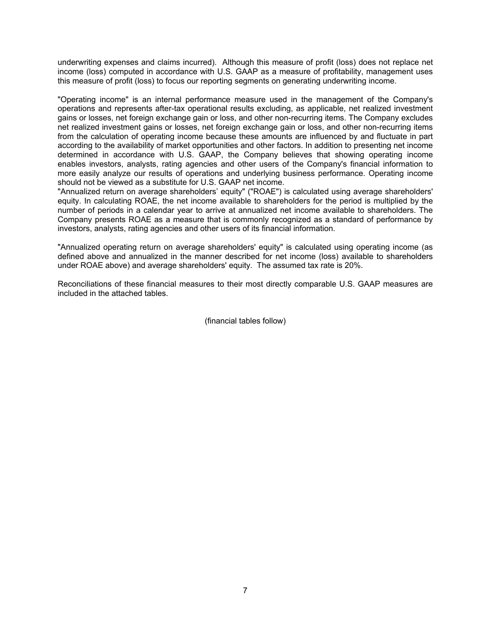underwriting expenses and claims incurred). Although this measure of profit (loss) does not replace net income (loss) computed in accordance with U.S. GAAP as a measure of profitability, management uses this measure of profit (loss) to focus our reporting segments on generating underwriting income.

"Operating income" is an internal performance measure used in the management of the Company's operations and represents after-tax operational results excluding, as applicable, net realized investment gains or losses, net foreign exchange gain or loss, and other non-recurring items. The Company excludes net realized investment gains or losses, net foreign exchange gain or loss, and other non-recurring items from the calculation of operating income because these amounts are influenced by and fluctuate in part according to the availability of market opportunities and other factors. In addition to presenting net income determined in accordance with U.S. GAAP, the Company believes that showing operating income enables investors, analysts, rating agencies and other users of the Company's financial information to more easily analyze our results of operations and underlying business performance. Operating income should not be viewed as a substitute for U.S. GAAP net income.

"Annualized return on average shareholders' equity" ("ROAE") is calculated using average shareholders' equity. In calculating ROAE, the net income available to shareholders for the period is multiplied by the number of periods in a calendar year to arrive at annualized net income available to shareholders. The Company presents ROAE as a measure that is commonly recognized as a standard of performance by investors, analysts, rating agencies and other users of its financial information.

"Annualized operating return on average shareholders' equity" is calculated using operating income (as defined above and annualized in the manner described for net income (loss) available to shareholders under ROAE above) and average shareholders' equity. The assumed tax rate is 20%.

Reconciliations of these financial measures to their most directly comparable U.S. GAAP measures are included in the attached tables.

(financial tables follow)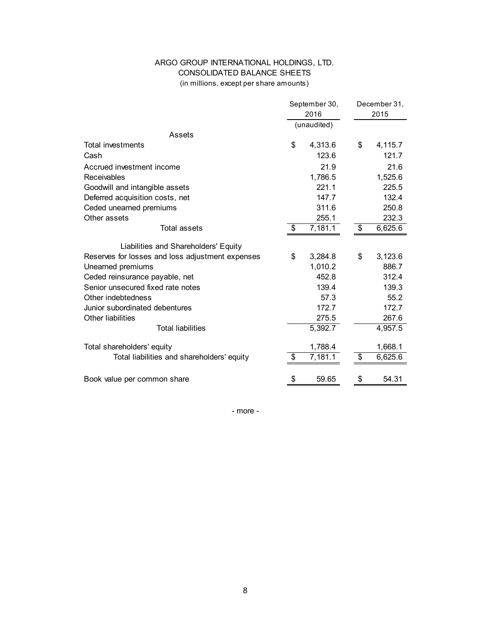## ARGO GROUP INTERNATIONAL HOLDINGS, LTD. CONSOLIDATED BALANCE SHEETS (in millions, except per share amounts)

|                                                  | September 30,        | December 31, |         |  |
|--------------------------------------------------|----------------------|--------------|---------|--|
|                                                  | 2016                 |              | 2015    |  |
|                                                  | (unaudited)          |              |         |  |
| Assets                                           |                      |              |         |  |
| Total investments                                | \$<br>4,313.6        | \$           | 4,115.7 |  |
| Cash                                             | 123.6                |              | 121.7   |  |
| Accrued investment income                        | 21.9                 |              | 21.6    |  |
| Receivables                                      | 1,786.5              |              | 1,525.6 |  |
| Goodwill and intangible assets                   | 221.1                |              | 225.5   |  |
| Deferred acquisition costs, net                  | 147.7                |              | 132.4   |  |
| Ceded unearned premiums                          | 311.6                |              | 250.8   |  |
| Other assets                                     | 255.1                |              | 232.3   |  |
| <b>Total assets</b>                              | \$<br>7,181.1        | \$           | 6,625.6 |  |
| Liabilities and Shareholders' Equity             |                      |              |         |  |
| Reserves for losses and loss adjustment expenses | \$<br>3,284.8        | \$           | 3,123.6 |  |
| Unearned premiums                                | 1,010.2              |              | 886.7   |  |
| Ceded reinsurance payable, net                   | 452.8                |              | 312.4   |  |
| Senior unsecured fixed rate notes                | 139.4                |              | 139.3   |  |
| Other indebtedness                               | 57.3                 |              | 55.2    |  |
| Junior subordinated debentures                   | 172.7                |              | 172.7   |  |
| <b>Other liabilities</b>                         | 275.5                |              | 267.6   |  |
| <b>Total liabilities</b>                         | $\overline{5,}392.7$ |              | 4,957.5 |  |
| Total shareholders' equity                       | 1,788.4              |              | 1,668.1 |  |
| Total liabilities and shareholders' equity       | \$<br>7,181.1        | \$           | 6,625.6 |  |
|                                                  |                      |              |         |  |
| Book value per common share                      | \$<br>59.65          | \$           | 54.31   |  |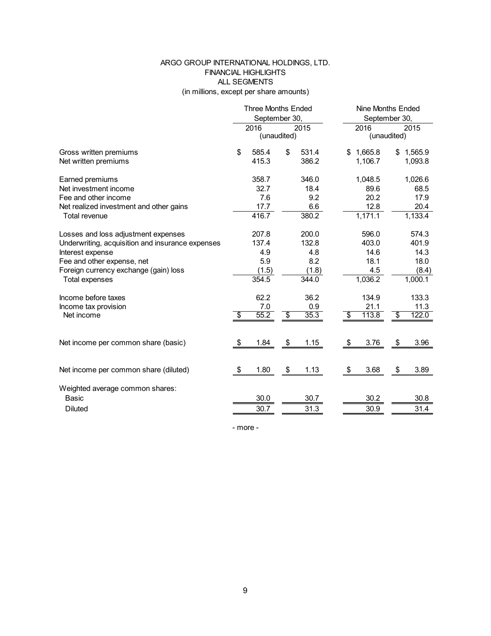## ARGO GROUP INTERNATIONAL HOLDINGS, LTD. FINANCIAL HIGHLIGHTS ALL SEGMENTS (in millions, except per share amounts)

|                                                  |                          |                     | <b>Three Months Ended</b><br>September 30, |       |    | Nine Months Ended<br>September 30, |                 |           |
|--------------------------------------------------|--------------------------|---------------------|--------------------------------------------|-------|----|------------------------------------|-----------------|-----------|
|                                                  |                          | 2016<br>(unaudited) |                                            | 2015  |    | 2016<br>(unaudited)                |                 | 2015      |
| Gross written premiums                           | \$                       | 585.4               | \$                                         | 531.4 |    | \$1,665.8                          |                 | \$1,565.9 |
| Net written premiums                             |                          | 415.3               |                                            | 386.2 |    | 1,106.7                            |                 | 1,093.8   |
| Earned premiums                                  |                          | 358.7               |                                            | 346.0 |    | 1,048.5                            |                 | 1,026.6   |
| Net investment income                            |                          | 32.7                |                                            | 18.4  |    | 89.6                               |                 | 68.5      |
| Fee and other income                             |                          | 7.6                 |                                            | 9.2   |    | 20.2                               |                 | 17.9      |
| Net realized investment and other gains          |                          | 17.7                |                                            | 6.6   |    | 12.8                               |                 | 20.4      |
| Total revenue                                    |                          | 416.7               |                                            | 380.2 |    | 1,171.1                            |                 | 1,133.4   |
| Losses and loss adjustment expenses              |                          | 207.8               |                                            | 200.0 |    | 596.0                              |                 | 574.3     |
| Underwriting, acquisition and insurance expenses |                          | 137.4               |                                            | 132.8 |    | 403.0                              |                 | 401.9     |
| Interest expense                                 |                          | 4.9                 |                                            | 4.8   |    | 14.6                               |                 | 14.3      |
| Fee and other expense, net                       |                          | 5.9                 |                                            | 8.2   |    | 18.1                               |                 | 18.0      |
| Foreign currency exchange (gain) loss            |                          | (1.5)               |                                            | (1.8) |    | 4.5                                |                 | (8.4)     |
| <b>Total expenses</b>                            |                          | 354.5               |                                            | 344.0 |    | 1,036.2                            |                 | 1,000.1   |
| Income before taxes                              |                          | 62.2                |                                            | 36.2  |    | 134.9                              |                 | 133.3     |
| Income tax provision                             |                          | 7.0                 |                                            | 0.9   |    | 21.1                               |                 | 11.3      |
| Net income                                       | $\overline{\mathcal{S}}$ | 55.2                | $\overline{\mathcal{F}}$                   | 35.3  | s) | 113.8                              | $\overline{\$}$ | 122.0     |
| Net income per common share (basic)              | \$                       | 1.84                | \$                                         | 1.15  | \$ | 3.76                               | \$              | 3.96      |
| Net income per common share (diluted)            | \$                       | 1.80                | \$                                         | 1.13  | \$ | 3.68                               | \$              | 3.89      |
| Weighted average common shares:                  |                          |                     |                                            |       |    |                                    |                 |           |
| <b>Basic</b>                                     |                          | 30.0                |                                            | 30.7  |    | 30.2                               |                 | 30.8      |
| <b>Diluted</b>                                   |                          | 30.7                |                                            | 31.3  |    | 30.9                               |                 | 31.4      |
|                                                  |                          |                     |                                            |       |    |                                    |                 |           |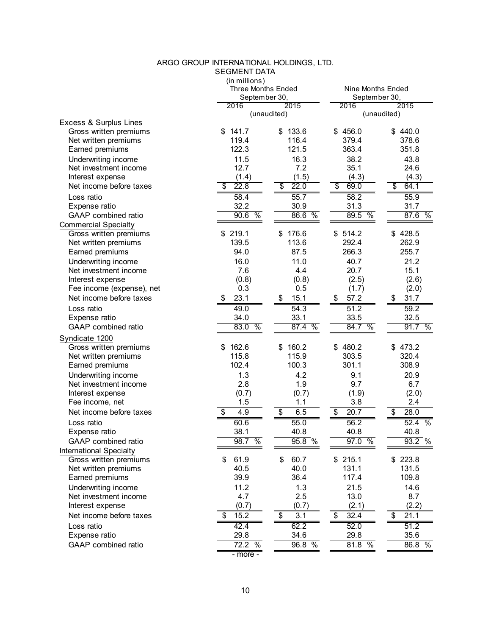## ARGO GROUP INTERNATIONAL HOLDINGS, LTD.

# SEGMENT DATA

|                             | (in millions)             |                         |                         |                         |  |  |  |
|-----------------------------|---------------------------|-------------------------|-------------------------|-------------------------|--|--|--|
|                             | <b>Three Months Ended</b> |                         | Nine Months Ended       |                         |  |  |  |
|                             | September 30,             |                         | September 30,           |                         |  |  |  |
|                             | 2016                      | 2015                    | 2016                    | 2015                    |  |  |  |
|                             | (unaudited)               |                         |                         | (unaudited)             |  |  |  |
| Excess & Surplus Lines      |                           |                         |                         |                         |  |  |  |
| Gross written premiums      | 141.7<br>\$               | \$133.6                 | \$456.0                 | 440.0<br>\$             |  |  |  |
| Net written premiums        | 119.4                     | 116.4                   | 379.4                   | 378.6                   |  |  |  |
| Earned premiums             | 122.3                     | 121.5                   | 363.4                   | 351.8                   |  |  |  |
| Underwriting income         | 11.5                      | 16.3                    | 38.2                    | 43.8                    |  |  |  |
| Net investment income       | 12.7                      | 7.2                     | 35.1                    | 24.6                    |  |  |  |
| Interest expense            | (1.4)                     | (1.5)                   | (4.3)                   | (4.3)                   |  |  |  |
| Net income before taxes     | \$<br>22.8                | $\overline{\$}$<br>22.0 | $\overline{\$}$<br>69.0 | \$<br>64.1              |  |  |  |
| Loss ratio                  | $\frac{1}{58.4}$          | 55.7                    | $\frac{1}{58.2}$        | 55.9                    |  |  |  |
| Expense ratio               | 32.2                      | 30.9                    | 31.3                    | 31.7                    |  |  |  |
| GAAP combined ratio         | 90.6<br>$\frac{0}{6}$     | 86.6<br>$\frac{0}{0}$   | 89.5<br>$\%$            | 87.6 %                  |  |  |  |
| <b>Commercial Specialty</b> |                           |                         |                         |                         |  |  |  |
| Gross written premiums      | \$219.1                   | 176.6<br>\$             | \$514.2                 | 428.5<br>\$             |  |  |  |
| Net written premiums        | 139.5                     | 113.6                   | 292.4                   | 262.9                   |  |  |  |
| Earned premiums             | 94.0                      | 87.5                    | 266.3                   | 255.7                   |  |  |  |
| Underwriting income         | 16.0                      | 11.0                    | 40.7                    | 21.2                    |  |  |  |
| Net investment income       | 7.6                       | 4.4                     | 20.7                    | 15.1                    |  |  |  |
| Interest expense            | (0.8)                     | (0.8)                   | (2.5)                   | (2.6)                   |  |  |  |
| Fee income (expense), net   | 0.3                       | 0.5                     | (1.7)                   | (2.0)                   |  |  |  |
| Net income before taxes     | 23.1<br>\$                | 15.1<br>$\overline{\$}$ | $\overline{\$}$<br>57.2 | $\overline{\$}$<br>31.7 |  |  |  |
| Loss ratio                  | 49.0                      | 54.3                    | 51.2                    | 59.2                    |  |  |  |
| Expense ratio               | 34.0                      | 33.1                    | 33.5                    | 32.5                    |  |  |  |
| GAAP combined ratio         | 83.0<br>$\frac{0}{0}$     | $\frac{0}{6}$<br>87.4   | 84.7<br>$\%$            | 91.7 %                  |  |  |  |
| Syndicate 1200              |                           |                         |                         |                         |  |  |  |
| Gross written premiums      | \$162.6                   | 160.2<br>\$             | \$480.2                 | \$473.2                 |  |  |  |
| Net written premiums        | 115.8                     | 115.9                   | 303.5                   | 320.4                   |  |  |  |
| Earned premiums             | 102.4                     | 100.3                   | 301.1                   | 308.9                   |  |  |  |
| Underwriting income         | 1.3                       | 4.2                     | 9.1                     | 20.9                    |  |  |  |
| Net investment income       | 2.8                       | 1.9                     | 9.7                     | 6.7                     |  |  |  |
| Interest expense            | (0.7)                     | (0.7)                   | (1.9)                   | (2.0)                   |  |  |  |
| Fee income, net             | 1.5                       | 1.1                     | 3.8                     | 2.4                     |  |  |  |
| Net income before taxes     | 4.9<br>\$                 | \$<br>6.5               | 20.7<br>\$              | \$<br>28.0              |  |  |  |
| Loss ratio                  | 60.6                      | 55.0                    | 56.2                    | 52.4%                   |  |  |  |
| Expense ratio               | 38.1                      | 40.8                    | 40.8                    | 40.8                    |  |  |  |
| GAAP combined ratio         | 98.7 %                    | 95.8 %                  | 97.0 %                  | 93.2 %                  |  |  |  |
| International Specialty     |                           |                         |                         |                         |  |  |  |
| Gross written premiums      | 61.9<br>\$                | 60.7<br>\$              | \$215.1                 | \$223.8                 |  |  |  |
| Net written premiums        | 40.5                      | 40.0                    | 131.1                   | 131.5                   |  |  |  |
| Earned premiums             | 39.9                      | 36.4                    | 117.4                   | 109.8                   |  |  |  |
| Underwriting income         | 11.2                      | 1.3                     | 21.5                    | 14.6                    |  |  |  |
| Net investment income       | 4.7                       | 2.5                     | 13.0                    | 8.7                     |  |  |  |
| Interest expense            | (0.7)                     | (0.7)                   | (2.1)                   | (2.2)                   |  |  |  |
| Net income before taxes     | 15.2<br>\$                | \$<br>3.1               | \$<br>32.4              | \$<br>21.1              |  |  |  |
|                             |                           |                         |                         |                         |  |  |  |
| Loss ratio                  | 42.4<br>29.8              | 62.2                    | 52.0                    | 51.2                    |  |  |  |
| Expense ratio               |                           | 34.6                    | 29.8                    | 35.6                    |  |  |  |
| GAAP combined ratio         | 72.2 %                    | 96.8 %                  | 81.8 %                  | 86.8 %                  |  |  |  |
|                             | - more -                  |                         |                         |                         |  |  |  |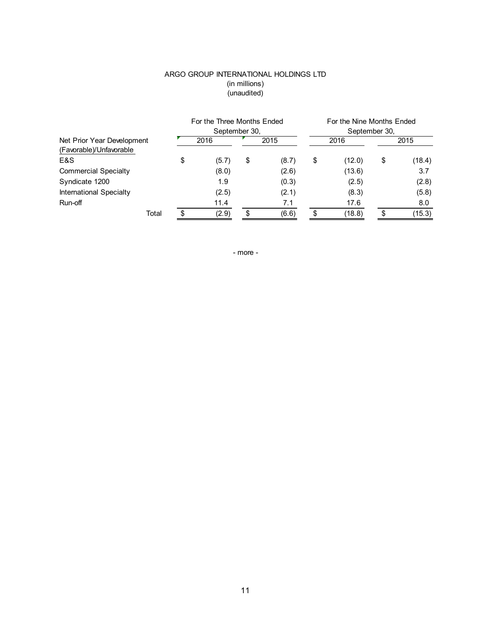## (unaudited) (in millions) ARGO GROUP INTERNATIONAL HOLDINGS LTD

|                             | For the Three Months Ended<br>September 30, |             | For the Nine Months Ended<br>September 30, |        |      |        |  |  |
|-----------------------------|---------------------------------------------|-------------|--------------------------------------------|--------|------|--------|--|--|
| Net Prior Year Development  | 2016                                        | 2015        |                                            | 2016   | 2015 |        |  |  |
| (Favorable)/Unfavorable     |                                             |             |                                            |        |      |        |  |  |
| E&S                         | \$<br>(5.7)                                 | \$<br>(8.7) | \$                                         | (12.0) | \$   | (18.4) |  |  |
| <b>Commercial Specialty</b> | (8.0)                                       | (2.6)       |                                            | (13.6) |      | 3.7    |  |  |
| Syndicate 1200              | 1.9                                         | (0.3)       |                                            | (2.5)  |      | (2.8)  |  |  |
| International Specialty     | (2.5)                                       | (2.1)       |                                            | (8.3)  |      | (5.8)  |  |  |
| Run-off                     | 11.4                                        | 7.1         |                                            | 17.6   |      | 8.0    |  |  |
| Total                       | \$<br>(2.9)                                 | \$<br>(6.6) |                                            | (18.8) | \$   | (15.3) |  |  |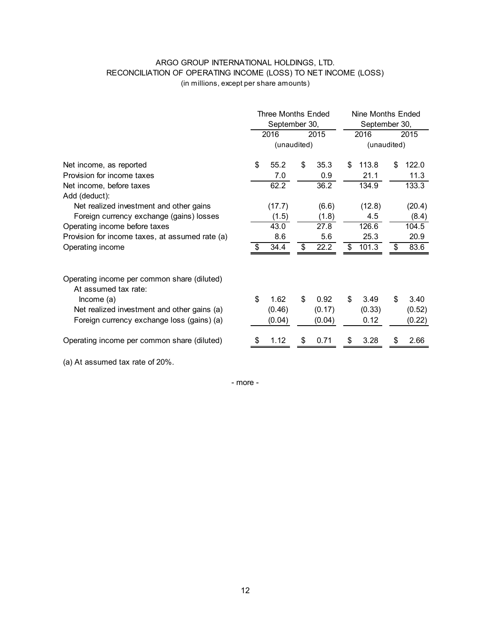## ARGO GROUP INTERNATIONAL HOLDINGS, LTD. RECONCILIATION OF OPERATING INCOME (LOSS) TO NET INCOME (LOSS) (in millions, except per share amounts)

|                                                                     | <b>Three Months Ended</b> |               |    |        | Nine Months Ended |               |      |        |
|---------------------------------------------------------------------|---------------------------|---------------|----|--------|-------------------|---------------|------|--------|
|                                                                     |                           | September 30, |    |        |                   | September 30, |      |        |
|                                                                     |                           | 2016          |    | 2015   |                   | 2016          | 2015 |        |
|                                                                     |                           | (unaudited)   |    |        |                   | (unaudited)   |      |        |
| Net income, as reported                                             | \$                        | 55.2          | \$ | 35.3   | \$                | 113.8         | \$   | 122.0  |
| Provision for income taxes                                          |                           | 7.0           |    | 0.9    |                   | 21.1          |      | 11.3   |
| Net income, before taxes                                            |                           | 62.2          |    | 36.2   |                   | 134.9         |      | 133.3  |
| Add (deduct):                                                       |                           |               |    |        |                   |               |      |        |
| Net realized investment and other gains                             |                           | (17.7)        |    | (6.6)  |                   | (12.8)        |      | (20.4) |
| Foreign currency exchange (gains) losses                            |                           | (1.5)         |    | (1.8)  |                   | 4.5           |      | (8.4)  |
| Operating income before taxes                                       |                           | 43.0          |    | 27.8   |                   | 126.6         |      | 104.5  |
| Provision for income taxes, at assumed rate (a)                     |                           | 8.6           |    | 5.6    |                   | 25.3          |      | 20.9   |
| Operating income                                                    | \$                        | 34.4          | \$ | 22.2   | \$                | 101.3         | \$   | 83.6   |
| Operating income per common share (diluted)<br>At assumed tax rate: |                           |               |    |        |                   |               |      |        |
| Income $(a)$                                                        | \$                        | 1.62          | \$ | 0.92   | \$                | 3.49          | \$   | 3.40   |
| Net realized investment and other gains (a)                         |                           | (0.46)        |    | (0.17) |                   | (0.33)        |      | (0.52) |
| Foreign currency exchange loss (gains) (a)                          |                           | (0.04)        |    | (0.04) |                   | 0.12          |      | (0.22) |
| Operating income per common share (diluted)                         |                           | 1.12          | \$ | 0.71   | \$                | 3.28          | \$   | 2.66   |
| (a) At assumed tax rate of 20%.                                     |                           |               |    |        |                   |               |      |        |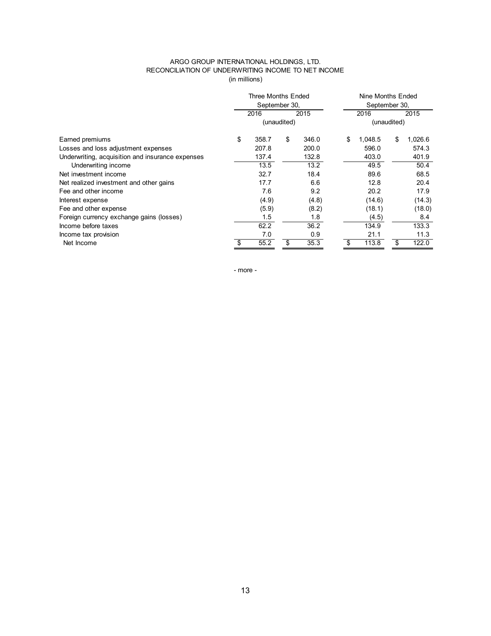#### ARGO GROUP INTERNATIONAL HOLDINGS, LTD. RECONCILIATION OF UNDERWRITING INCOME TO NET INCOME (in millions)

|                                                  | Three Months Ended<br>September 30, |       |     |       |    | Nine Months Ended<br>September 30, |    |         |  |
|--------------------------------------------------|-------------------------------------|-------|-----|-------|----|------------------------------------|----|---------|--|
|                                                  | 2015<br>2016                        |       |     |       |    | 2016                               |    | 2015    |  |
|                                                  | (unaudited)                         |       |     |       |    | (unaudited)                        |    |         |  |
| Earned premiums                                  | \$                                  | 358.7 | \$  | 346.0 | S  | 1.048.5                            | \$ | 1,026.6 |  |
| Losses and loss adjustment expenses              |                                     | 207.8 |     | 200.0 |    | 596.0                              |    | 574.3   |  |
| Underwriting, acquisition and insurance expenses |                                     | 137.4 |     | 132.8 |    | 403.0                              |    | 401.9   |  |
| Underwriting income                              |                                     | 13.5  |     | 13.2  |    | 49.5                               |    | 50.4    |  |
| Net investment income                            |                                     | 32.7  |     | 18.4  |    | 89.6                               |    | 68.5    |  |
| Net realized investment and other gains          |                                     | 17.7  |     | 6.6   |    | 12.8                               |    | 20.4    |  |
| Fee and other income                             |                                     | 7.6   |     | 9.2   |    | 20.2                               |    | 17.9    |  |
| Interest expense                                 |                                     | (4.9) |     | (4.8) |    | (14.6)                             |    | (14.3)  |  |
| Fee and other expense                            |                                     | (5.9) |     | (8.2) |    | (18.1)                             |    | (18.0)  |  |
| Foreign currency exchange gains (losses)         |                                     | 1.5   |     | 1.8   |    | (4.5)                              |    | 8.4     |  |
| Income before taxes                              |                                     | 62.2  |     | 36.2  |    | 134.9                              |    | 133.3   |  |
| Income tax provision                             |                                     | 7.0   |     | 0.9   |    | 21.1                               |    | 11.3    |  |
| Net Income                                       |                                     | 55.2  | \$. | 35.3  | \$ | 113.8                              | \$ | 122.0   |  |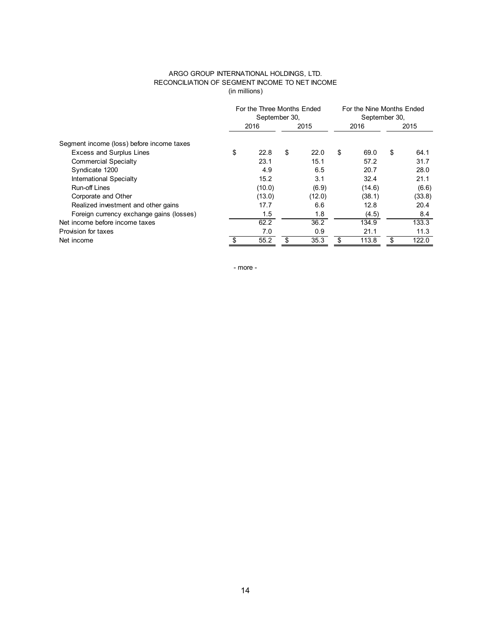## ARGO GROUP INTERNATIONAL HOLDINGS, LTD. RECONCILIATION OF SEGMENT INCOME TO NET INCOME (in millions)

|                                           | For the Three Months Ended<br>September 30, |        |    |        |    | For the Nine Months Ended<br>September 30, |    |        |  |
|-------------------------------------------|---------------------------------------------|--------|----|--------|----|--------------------------------------------|----|--------|--|
|                                           |                                             | 2016   |    | 2015   |    | 2016                                       |    | 2015   |  |
| Segment income (loss) before income taxes |                                             |        |    |        |    |                                            |    |        |  |
| <b>Excess and Surplus Lines</b>           | \$                                          | 22.8   | \$ | 22.0   | \$ | 69.0                                       | \$ | 64.1   |  |
| <b>Commercial Specialty</b>               |                                             | 23.1   |    | 15.1   |    | 57.2                                       |    | 31.7   |  |
| Syndicate 1200                            |                                             | 4.9    |    | 6.5    |    | 20.7                                       |    | 28.0   |  |
| <b>International Specialty</b>            |                                             | 15.2   |    | 3.1    |    | 32.4                                       |    | 21.1   |  |
| <b>Run-off Lines</b>                      |                                             | (10.0) |    | (6.9)  |    | (14.6)                                     |    | (6.6)  |  |
| Corporate and Other                       |                                             | (13.0) |    | (12.0) |    | (38.1)                                     |    | (33.8) |  |
| Realized investment and other gains       |                                             | 17.7   |    | 6.6    |    | 12.8                                       |    | 20.4   |  |
| Foreign currency exchange gains (losses)  |                                             | 1.5    |    | 1.8    |    | (4.5)                                      |    | 8.4    |  |
| Net income before income taxes            |                                             | 62.2   |    | 36.2   |    | 134.9                                      |    | 133.3  |  |
| Provision for taxes                       |                                             | 7.0    |    | 0.9    |    | 21.1                                       |    | 11.3   |  |
| Net income                                |                                             | 55.2   | \$ | 35.3   | \$ | 113.8                                      | \$ | 122.0  |  |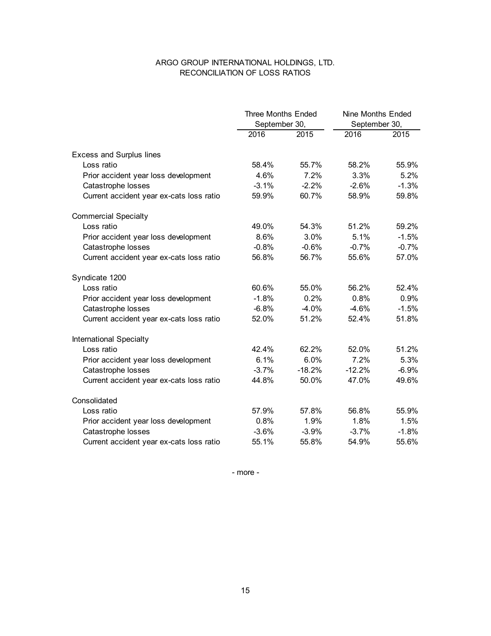## ARGO GROUP INTERNATIONAL HOLDINGS, LTD. RECONCILIATION OF LOSS RATIOS

|                                          |               | <b>Three Months Ended</b> |               | <b>Nine Months Ended</b> |
|------------------------------------------|---------------|---------------------------|---------------|--------------------------|
|                                          | September 30, |                           | September 30, |                          |
|                                          | 2016          | 2015                      | 2016          | 2015                     |
| <b>Excess and Surplus lines</b>          |               |                           |               |                          |
| Loss ratio                               | 58.4%         | 55.7%                     | 58.2%         | 55.9%                    |
| Prior accident year loss development     | 4.6%          | 7.2%                      | 3.3%          | 5.2%                     |
| Catastrophe losses                       | $-3.1%$       | $-2.2%$                   | $-2.6%$       | $-1.3%$                  |
| Current accident year ex-cats loss ratio | 59.9%         | 60.7%                     | 58.9%         | 59.8%                    |
| <b>Commercial Specialty</b>              |               |                           |               |                          |
| Loss ratio                               | 49.0%         | 54.3%                     | 51.2%         | 59.2%                    |
| Prior accident year loss development     | 8.6%          | 3.0%                      | 5.1%          | $-1.5%$                  |
| Catastrophe losses                       | $-0.8%$       | $-0.6%$                   | $-0.7%$       | $-0.7%$                  |
| Current accident year ex-cats loss ratio | 56.8%         | 56.7%                     | 55.6%         | 57.0%                    |
| Syndicate 1200                           |               |                           |               |                          |
| Loss ratio                               | 60.6%         | 55.0%                     | 56.2%         | 52.4%                    |
| Prior accident year loss development     | $-1.8%$       | 0.2%                      | 0.8%          | 0.9%                     |
| Catastrophe losses                       | $-6.8%$       | $-4.0%$                   | $-4.6%$       | $-1.5%$                  |
| Current accident year ex-cats loss ratio | 52.0%         | 51.2%                     | 52.4%         | 51.8%                    |
| International Specialty                  |               |                           |               |                          |
| Loss ratio                               | 42.4%         | 62.2%                     | 52.0%         | 51.2%                    |
| Prior accident year loss development     | 6.1%          | 6.0%                      | 7.2%          | 5.3%                     |
| Catastrophe losses                       | $-3.7%$       | $-18.2%$                  | $-12.2%$      | $-6.9%$                  |
| Current accident year ex-cats loss ratio | 44.8%         | 50.0%                     | 47.0%         | 49.6%                    |
| Consolidated                             |               |                           |               |                          |
| Loss ratio                               | 57.9%         | 57.8%                     | 56.8%         | 55.9%                    |
| Prior accident year loss development     | 0.8%          | 1.9%                      | 1.8%          | 1.5%                     |
| Catastrophe losses                       | $-3.6%$       | $-3.9%$                   | $-3.7%$       | $-1.8%$                  |
| Current accident year ex-cats loss ratio | 55.1%         | 55.8%                     | 54.9%         | 55.6%                    |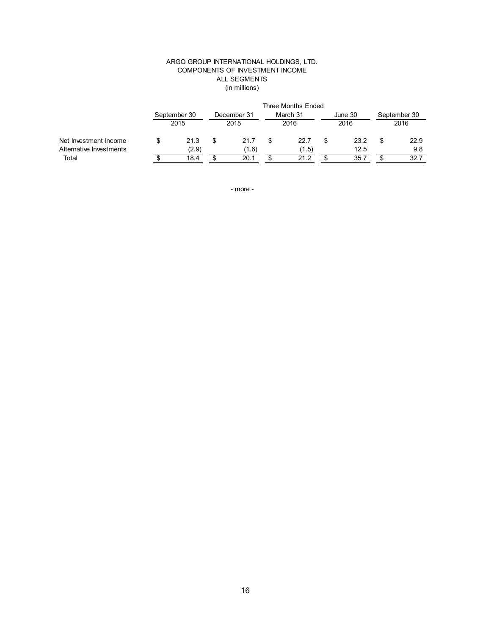#### ARGO GROUP INTERNATIONAL HOLDINGS, LTD. COMPONENTS OF INVESTMENT INCOME ALL SEGMENTS (in millions)

|                         | Three Months Ended |   |             |          |       |         |              |  |      |  |  |  |  |
|-------------------------|--------------------|---|-------------|----------|-------|---------|--------------|--|------|--|--|--|--|
|                         | September 30       |   | December 31 | March 31 |       | June 30 | September 30 |  |      |  |  |  |  |
|                         | 2015               |   | 2015        |          | 2016  |         | 2016         |  | 2016 |  |  |  |  |
| Net Investment Income   | 21.3               | S | 21.7        |          | 22.7  |         | 23.2         |  | 22.9 |  |  |  |  |
| Alternative Investments | (2.9)              |   | (1.6)       |          | (1.5) |         | 12.5         |  | 9.8  |  |  |  |  |
| Total                   | 18.4               |   | 20.1        | ጦ        | 21.2  |         | 35.7         |  | 32.7 |  |  |  |  |